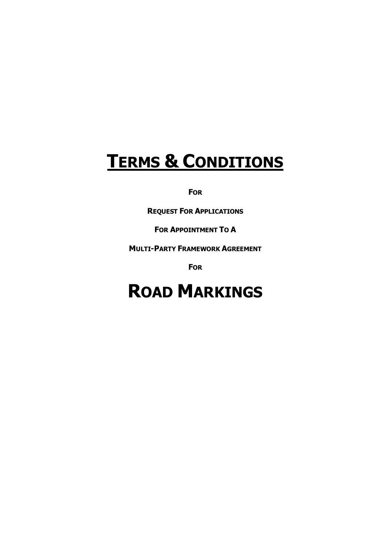# **TERMS & CONDITIONS**

**FOR**

**REQUEST FOR APPLICATIONS**

**FOR APPOINTMENT TO A**

**MULTI-PARTY FRAMEWORK AGREEMENT**

**FOR**

# **ROAD MARKINGS**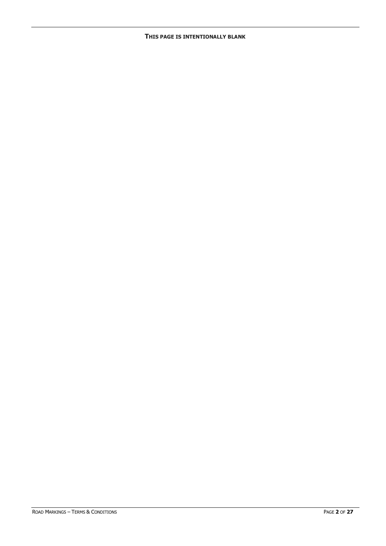# **THIS PAGE IS INTENTIONALLY BLANK**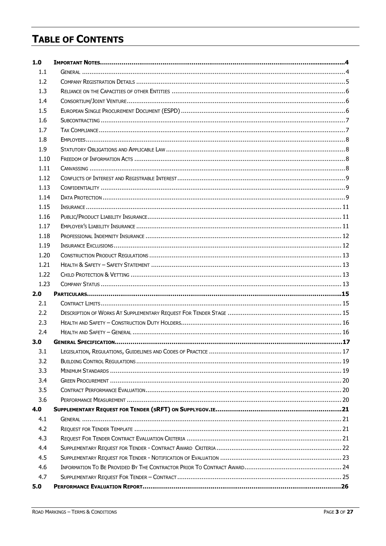# **TABLE OF CONTENTS**

| 1.0  |  |
|------|--|
| 1.1  |  |
| 1.2  |  |
| 1.3  |  |
| 1.4  |  |
| 1.5  |  |
| 1.6  |  |
| 1.7  |  |
| 1.8  |  |
| 1.9  |  |
| 1.10 |  |
| 1.11 |  |
| 1.12 |  |
| 1.13 |  |
| 1.14 |  |
| 1.15 |  |
| 1.16 |  |
| 1.17 |  |
| 1.18 |  |
| 1.19 |  |
| 1.20 |  |
| 1.21 |  |
| 1.22 |  |
| 1.23 |  |
| 2.0  |  |
| 2.1  |  |
| 2.2  |  |
| 2.3  |  |
| 2.4  |  |
| 3.0  |  |
| 3.1  |  |
| 3.2  |  |
| 3.3  |  |
| 3.4  |  |
| 3.5  |  |
| 3.6  |  |
| 4.0  |  |
| 4.1  |  |
| 4.2  |  |
| 4.3  |  |
| 4.4  |  |
| 4.5  |  |
| 4.6  |  |
| 4.7  |  |
| 5.0  |  |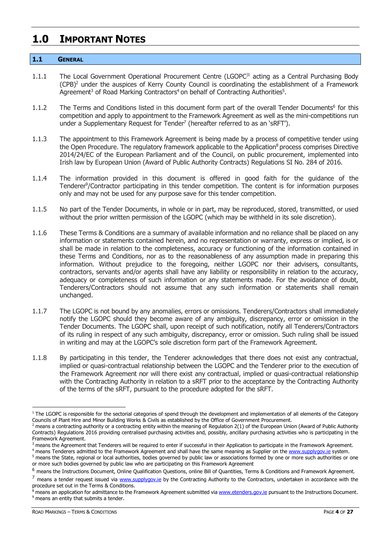# **1.0 IMPORTANT NOTES**

# **1.1 GENERAL**

- 1.1.1 The Local Government Operational Procurement Centre (LGOPC)1 acting as a Central Purchasing Body (CPB)2 under the auspices of Kerry County Council is coordinating the establishment of a Framework Agreement<sup>3</sup> of Road Marking Contractors<sup>4</sup> on behalf of Contracting Authorities<sup>5</sup>.
- 1.1.2 The Terms and Conditions listed in this document form part of the overall Tender Documents<sup>6</sup> for this competition and apply to appointment to the Framework Agreement as well as the mini-competitions run under a Supplementary Request for Tender<sup>7</sup> (hereafter referred to as an 'sRFT').
- 1.1.3 The appointment to this Framework Agreement is being made by a process of competitive tender using the Open Procedure. The regulatory framework applicable to the Application<sup>8</sup> process comprises Directive 2014/24/EC of the European Parliament and of the Council, on public procurement, implemented into Irish law by European Union (Award of Public Authority Contracts) Regulations SI No. 284 of 2016.
- 1.1.4 The information provided in this document is offered in good faith for the guidance of the Tenderer<sup>9</sup>/Contractor participating in this tender competition. The content is for information purposes only and may not be used for any purpose save for this tender competition.
- 1.1.5 No part of the Tender Documents, in whole or in part, may be reproduced, stored, transmitted, or used without the prior written permission of the LGOPC (which may be withheld in its sole discretion).
- 1.1.6 These Terms & Conditions are a summary of available information and no reliance shall be placed on any information or statements contained herein, and no representation or warranty, express or implied, is or shall be made in relation to the completeness, accuracy or functioning of the information contained in these Terms and Conditions, nor as to the reasonableness of any assumption made in preparing this information. Without prejudice to the foregoing, neither LGOPC nor their advisers, consultants, contractors, servants and/or agents shall have any liability or responsibility in relation to the accuracy, adequacy or completeness of such information or any statements made. For the avoidance of doubt, Tenderers/Contractors should not assume that any such information or statements shall remain unchanged.
- 1.1.7 The LGOPC is not bound by any anomalies, errors or omissions. Tenderers/Contractors shall immediately notify the LGOPC should they become aware of any ambiguity, discrepancy, error or omission in the Tender Documents. The LGOPC shall, upon receipt of such notification, notify all Tenderers/Contractors of its ruling in respect of any such ambiguity, discrepancy, error or omission. Such ruling shall be issued in writing and may at the LGOPC's sole discretion form part of the Framework Agreement.
- 1.1.8 By participating in this tender, the Tenderer acknowledges that there does not exist any contractual, implied or quasi-contractual relationship between the LGOPC and the Tenderer prior to the execution of the Framework Agreement nor will there exist any contractual, implied or quasi-contractual relationship with the Contracting Authority in relation to a sRFT prior to the acceptance by the Contracting Authority of the terms of the sRFT, pursuant to the procedure adopted for the sRFT.

or more such bodies governed by public law who are participating on this Framework Agreement

 $1$  The LGOPC is responsible for the sectorial categories of spend through the development and implementation of all elements of the Category Councils of Plant Hire and Minor Building Works & Civils as established by the Office of Government Procurement.

<sup>2</sup> means a contracting authority or a contracting entity within the meaning of Regulation 2(1) of the European Union (Award of Public Authority Contracts) Regulations 2016 providing centralised purchasing activities and, possibly, ancillary purchasing activities who is participating in the Framework Agreement.

<sup>3</sup> means the Agreement that Tenderers will be required to enter if successful in their Application to participate in the Framework Agreement.

<sup>4</sup> means Tenderers admitted to the Framework Agreement and shall have the same meaning as Supplier on the www.supplygov.ie system. <sup>5</sup> means the State, regional or local authorities, bodies governed by public law or associations formed by one or more such authorities or one

<sup>6</sup> means the Instructions Document, Online Qualification Questions, online Bill of Quantities, Terms & Conditions and Framework Agreement.

<sup>&</sup>lt;sup>7</sup> means a tender request issued via www.supplygov.ie by the Contracting Authority to the Contractors, undertaken in accordance with the procedure set out in the Terms & Conditions.

<sup>&</sup>lt;sup>8</sup> means an application for admittance to the Framework Agreement submitted via www.etenders.gov.ie pursuant to the Instructions Document. <sup>9</sup> means an entity that submits a tender.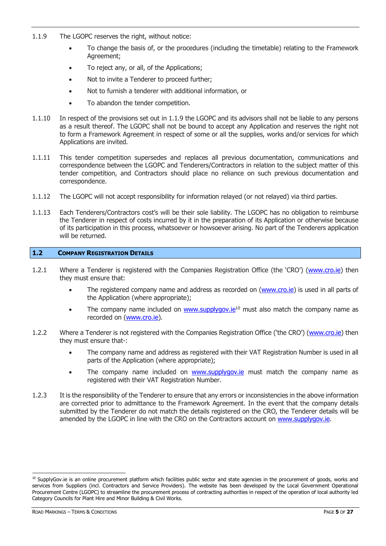- 1.1.9 The LGOPC reserves the right, without notice:
	- · To change the basis of, or the procedures (including the timetable) relating to the Framework Agreement;
	- · To reject any, or all, of the Applications;
	- · Not to invite a Tenderer to proceed further;
	- · Not to furnish a tenderer with additional information, or
	- To abandon the tender competition.
- 1.1.10 In respect of the provisions set out in 1.1.9 the LGOPC and its advisors shall not be liable to any persons as a result thereof. The LGOPC shall not be bound to accept any Application and reserves the right not to form a Framework Agreement in respect of some or all the supplies, works and/or services for which Applications are invited.
- 1.1.11 This tender competition supersedes and replaces all previous documentation, communications and correspondence between the LGOPC and Tenderers/Contractors in relation to the subject matter of this tender competition, and Contractors should place no reliance on such previous documentation and correspondence.
- 1.1.12 The LGOPC will not accept responsibility for information relayed (or not relayed) via third parties.
- 1.1.13 Each Tenderers/Contractors cost's will be their sole liability. The LGOPC has no obligation to reimburse the Tenderer in respect of costs incurred by it in the preparation of its Application or otherwise because of its participation in this process, whatsoever or howsoever arising. No part of the Tenderers application will be returned.

## **1.2 COMPANY REGISTRATION DETAILS**

- 1.2.1 Where a Tenderer is registered with the Companies Registration Office (the 'CRO') (www.cro.ie) then they must ensure that:
	- The registered company name and address as recorded on (www.cro.ie) is used in all parts of the Application (where appropriate);
	- The company name included on www.supplygov.ie<sup>10</sup> must also match the company name as recorded on (www.cro.ie).
- 1.2.2 Where a Tenderer is not registered with the Companies Registration Office ('the CRO') (www.cro.ie) then they must ensure that-:
	- · The company name and address as registered with their VAT Registration Number is used in all parts of the Application (where appropriate);
	- The company name included on **www.supplygov.ie** must match the company name as registered with their VAT Registration Number.
- 1.2.3 It is the responsibility of the Tenderer to ensure that any errors or inconsistencies in the above information are corrected prior to admittance to the Framework Agreement. In the event that the company details submitted by the Tenderer do not match the details registered on the CRO, the Tenderer details will be amended by the LGOPC in line with the CRO on the Contractors account on www.supplygov.ie.

<sup>&</sup>lt;sup>10</sup> SupplyGov.ie is an online procurement platform which facilities public sector and state agencies in the procurement of goods, works and services from Suppliers (incl. Contractors and Service Providers). The website has been developed by the Local Government Operational Procurement Centre (LGOPC) to streamline the procurement process of contracting authorities in respect of the operation of local authority led Category Councils for Plant Hire and Minor Building & Civil Works.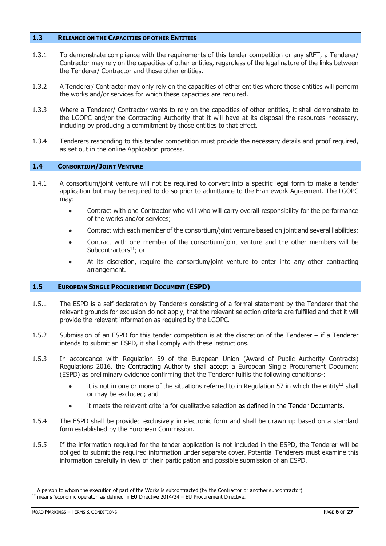### **1.3 RELIANCE ON THE CAPACITIES OF OTHER ENTITIES**

- 1.3.1 To demonstrate compliance with the requirements of this tender competition or any sRFT, a Tenderer/ Contractor may rely on the capacities of other entities, regardless of the legal nature of the links between the Tenderer/ Contractor and those other entities.
- 1.3.2 A Tenderer/ Contractor may only rely on the capacities of other entities where those entities will perform the works and/or services for which these capacities are required.
- 1.3.3 Where a Tenderer/ Contractor wants to rely on the capacities of other entities, it shall demonstrate to the LGOPC and/or the Contracting Authority that it will have at its disposal the resources necessary, including by producing a commitment by those entities to that effect.
- 1.3.4 Tenderers responding to this tender competition must provide the necessary details and proof required, as set out in the online Application process.

# **1.4 CONSORTIUM/JOINT VENTURE**

- 1.4.1 A consortium/joint venture will not be required to convert into a specific legal form to make a tender application but may be required to do so prior to admittance to the Framework Agreement. The LGOPC may:
	- · Contract with one Contractor who will who will carry overall responsibility for the performance of the works and/or services;
	- · Contract with each member of the consortium/joint venture based on joint and several liabilities;
	- · Contract with one member of the consortium/joint venture and the other members will be Subcontractors<sup>11</sup>; or
	- At its discretion, require the consortium/joint venture to enter into any other contracting arrangement.

#### **1.5 EUROPEAN SINGLE PROCUREMENT DOCUMENT (ESPD)**

- 1.5.1 The ESPD is a self-declaration by Tenderers consisting of a formal statement by the Tenderer that the relevant grounds for exclusion do not apply, that the relevant selection criteria are fulfilled and that it will provide the relevant information as required by the LGOPC.
- 1.5.2 Submission of an ESPD for this tender competition is at the discretion of the Tenderer if a Tenderer intends to submit an ESPD, it shall comply with these instructions.
- 1.5.3 In accordance with Regulation 59 of the European Union (Award of Public Authority Contracts) Regulations 2016, the Contracting Authority shall accept a European Single Procurement Document (ESPD) as preliminary evidence confirming that the Tenderer fulfils the following conditions-:
	- it is not in one or more of the situations referred to in Regulation 57 in which the entity<sup>12</sup> shall or may be excluded; and
	- · it meets the relevant criteria for qualitative selection as defined in the Tender Documents.
- 1.5.4 The ESPD shall be provided exclusively in electronic form and shall be drawn up based on a standard form established by the European Commission.
- 1.5.5 If the information required for the tender application is not included in the ESPD, the Tenderer will be obliged to submit the required information under separate cover. Potential Tenderers must examine this information carefully in view of their participation and possible submission of an ESPD.

 $11$  A person to whom the execution of part of the Works is subcontracted (by the Contractor or another subcontractor).

 $12$  means 'economic operator' as defined in EU Directive 2014/24 – EU Procurement Directive.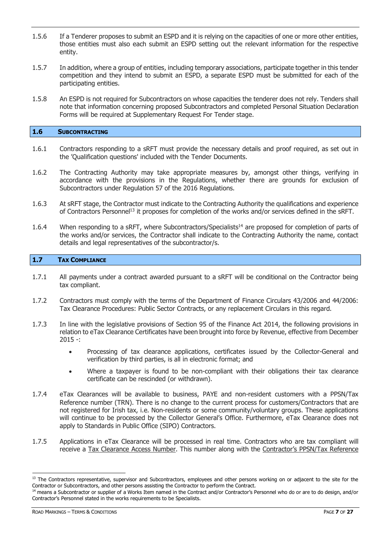- 1.5.6 If a Tenderer proposes to submit an ESPD and it is relying on the capacities of one or more other entities, those entities must also each submit an ESPD setting out the relevant information for the respective entity.
- 1.5.7 In addition, where a group of entities, including temporary associations, participate together in this tender competition and they intend to submit an ESPD, a separate ESPD must be submitted for each of the participating entities.
- 1.5.8 An ESPD is not required for Subcontractors on whose capacities the tenderer does not rely. Tenders shall note that information concerning proposed Subcontractors and completed Personal Situation Declaration Forms will be required at Supplementary Request For Tender stage.

#### **1.6 SUBCONTRACTING**

- 1.6.1 Contractors responding to a sRFT must provide the necessary details and proof required, as set out in the 'Qualification questions' included with the Tender Documents.
- 1.6.2 The Contracting Authority may take appropriate measures by, amongst other things, verifying in accordance with the provisions in the Regulations, whether there are grounds for exclusion of Subcontractors under Regulation 57 of the 2016 Regulations.
- 1.6.3 At sRFT stage, the Contractor must indicate to the Contracting Authority the qualifications and experience of Contractors Personnel<sup>13</sup> it proposes for completion of the works and/or services defined in the sRFT.
- 1.6.4 When responding to a sRFT, where Subcontractors/Specialists<sup>14</sup> are proposed for completion of parts of the works and/or services, the Contractor shall indicate to the Contracting Authority the name, contact details and legal representatives of the subcontractor/s.

#### **1.7 TAX COMPLIANCE**

- 1.7.1 All payments under a contract awarded pursuant to a sRFT will be conditional on the Contractor being tax compliant.
- 1.7.2 Contractors must comply with the terms of the Department of Finance Circulars 43/2006 and 44/2006: Tax Clearance Procedures: Public Sector Contracts, or any replacement Circulars in this regard.
- 1.7.3 In line with the legislative provisions of Section 95 of the Finance Act 2014, the following provisions in relation to eTax Clearance Certificates have been brought into force by Revenue, effective from December  $2015 -$ :
	- · Processing of tax clearance applications, certificates issued by the Collector-General and verification by third parties, is all in electronic format; and
	- · Where a taxpayer is found to be non-compliant with their obligations their tax clearance certificate can be rescinded (or withdrawn).
- 1.7.4 eTax Clearances will be available to business, PAYE and non-resident customers with a PPSN/Tax Reference number (TRN). There is no change to the current process for customers/Contractors that are not registered for Irish tax, i.e. Non-residents or some community/voluntary groups. These applications will continue to be processed by the Collector General's Office. Furthermore, eTax Clearance does not apply to Standards in Public Office (SIPO) Contractors.
- 1.7.5 Applications in eTax Clearance will be processed in real time. Contractors who are tax compliant will receive a Tax Clearance Access Number. This number along with the Contractor's PPSN/Tax Reference

<sup>&</sup>lt;sup>13</sup> The Contractors representative, supervisor and Subcontractors, employees and other persons working on or adjacent to the site for the Contractor or Subcontractors, and other persons assisting the Contractor to perform the Contract.

<sup>14</sup> means a Subcontractor or supplier of a Works Item named in the Contract and/or Contractor's Personnel who do or are to do design, and/or Contractor's Personnel stated in the works requirements to be Specialists.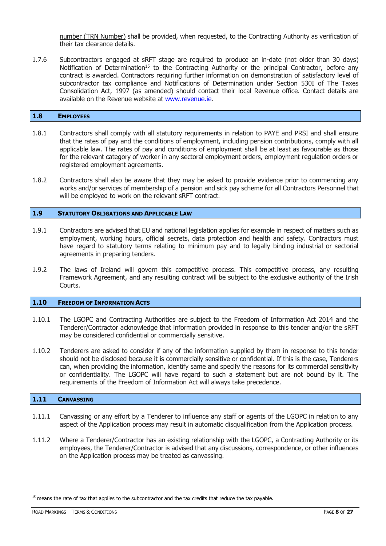number (TRN Number) shall be provided, when requested, to the Contracting Authority as verification of their tax clearance details.

1.7.6 Subcontractors engaged at sRFT stage are required to produce an in-date (not older than 30 days) Notification of Determination<sup>15</sup> to the Contracting Authority or the principal Contractor, before any contract is awarded. Contractors requiring further information on demonstration of satisfactory level of subcontractor tax compliance and Notifications of Determination under Section 530I of The Taxes Consolidation Act, 1997 (as amended) should contact their local Revenue office. Contact details are available on the Revenue website at www.revenue.ie.

#### **1.8 EMPLOYEES**

- 1.8.1 Contractors shall comply with all statutory requirements in relation to PAYE and PRSI and shall ensure that the rates of pay and the conditions of employment, including pension contributions, comply with all applicable law. The rates of pay and conditions of employment shall be at least as favourable as those for the relevant category of worker in any sectoral employment orders, employment regulation orders or registered employment agreements.
- 1.8.2 Contractors shall also be aware that they may be asked to provide evidence prior to commencing any works and/or services of membership of a pension and sick pay scheme for all Contractors Personnel that will be employed to work on the relevant sRFT contract.

#### **1.9 STATUTORY OBLIGATIONS AND APPLICABLE LAW**

- 1.9.1 Contractors are advised that EU and national legislation applies for example in respect of matters such as employment, working hours, official secrets, data protection and health and safety. Contractors must have regard to statutory terms relating to minimum pay and to legally binding industrial or sectorial agreements in preparing tenders.
- 1.9.2 The laws of Ireland will govern this competitive process. This competitive process, any resulting Framework Agreement, and any resulting contract will be subject to the exclusive authority of the Irish Courts.

# **1.10 FREEDOM OF INFORMATION ACTS**

- 1.10.1 The LGOPC and Contracting Authorities are subject to the Freedom of Information Act 2014 and the Tenderer/Contractor acknowledge that information provided in response to this tender and/or the sRFT may be considered confidential or commercially sensitive.
- 1.10.2 Tenderers are asked to consider if any of the information supplied by them in response to this tender should not be disclosed because it is commercially sensitive or confidential. If this is the case, Tenderers can, when providing the information, identify same and specify the reasons for its commercial sensitivity or confidentiality. The LGOPC will have regard to such a statement but are not bound by it. The requirements of the Freedom of Information Act will always take precedence.

# **1.11 CANVASSING**

- 1.11.1 Canvassing or any effort by a Tenderer to influence any staff or agents of the LGOPC in relation to any aspect of the Application process may result in automatic disqualification from the Application process.
- 1.11.2 Where a Tenderer/Contractor has an existing relationship with the LGOPC, a Contracting Authority or its employees, the Tenderer/Contractor is advised that any discussions, correspondence, or other influences on the Application process may be treated as canvassing.

 $15$  means the rate of tax that applies to the subcontractor and the tax credits that reduce the tax payable.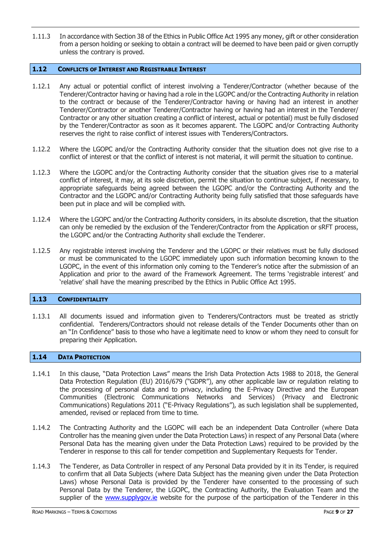1.11.3 In accordance with Section 38 of the Ethics in Public Office Act 1995 any money, gift or other consideration from a person holding or seeking to obtain a contract will be deemed to have been paid or given corruptly unless the contrary is proved.

# **1.12 CONFLICTS OF INTEREST AND REGISTRABLE INTEREST**

- 1.12.1 Any actual or potential conflict of interest involving a Tenderer/Contractor (whether because of the Tenderer/Contractor having or having had a role in the LGOPC and/or the Contracting Authority in relation to the contract or because of the Tenderer/Contractor having or having had an interest in another Tenderer/Contractor or another Tenderer/Contractor having or having had an interest in the Tenderer/ Contractor or any other situation creating a conflict of interest, actual or potential) must be fully disclosed by the Tenderer/Contractor as soon as it becomes apparent. The LGOPC and/or Contracting Authority reserves the right to raise conflict of interest issues with Tenderers/Contractors.
- 1.12.2 Where the LGOPC and/or the Contracting Authority consider that the situation does not give rise to a conflict of interest or that the conflict of interest is not material, it will permit the situation to continue.
- 1.12.3 Where the LGOPC and/or the Contracting Authority consider that the situation gives rise to a material conflict of interest, it may, at its sole discretion, permit the situation to continue subject, if necessary, to appropriate safeguards being agreed between the LGOPC and/or the Contracting Authority and the Contractor and the LGOPC and/or Contracting Authority being fully satisfied that those safeguards have been put in place and will be complied with.
- 1.12.4 Where the LGOPC and/or the Contracting Authority considers, in its absolute discretion, that the situation can only be remedied by the exclusion of the Tenderer/Contractor from the Application or sRFT process, the LGOPC and/or the Contracting Authority shall exclude the Tenderer.
- 1.12.5 Any registrable interest involving the Tenderer and the LGOPC or their relatives must be fully disclosed or must be communicated to the LGOPC immediately upon such information becoming known to the LGOPC, in the event of this information only coming to the Tenderer's notice after the submission of an Application and prior to the award of the Framework Agreement. The terms 'registrable interest' and 'relative' shall have the meaning prescribed by the Ethics in Public Office Act 1995.

#### **1.13 CONFIDENTIALITY**

1.13.1 All documents issued and information given to Tenderers/Contractors must be treated as strictly confidential. Tenderers/Contractors should not release details of the Tender Documents other than on an "In Confidence" basis to those who have a legitimate need to know or whom they need to consult for preparing their Application.

# **1.14 DATA PROTECTION**

- 1.14.1 In this clause, "Data Protection Laws" means the Irish Data Protection Acts 1988 to 2018, the General Data Protection Regulation (EU) 2016/679 ("GDPR"), any other applicable law or regulation relating to the processing of personal data and to privacy, including the E-Privacy Directive and the European Communities (Electronic Communications Networks and Services) (Privacy and Electronic Communications) Regulations 2011 ("E-Privacy Regulations"), as such legislation shall be supplemented, amended, revised or replaced from time to time.
- 1.14.2 The Contracting Authority and the LGOPC will each be an independent Data Controller (where Data Controller has the meaning given under the Data Protection Laws) in respect of any Personal Data (where Personal Data has the meaning given under the Data Protection Laws) required to be provided by the Tenderer in response to this call for tender competition and Supplementary Requests for Tender.
- 1.14.3 The Tenderer, as Data Controller in respect of any Personal Data provided by it in its Tender, is required to confirm that all Data Subjects (where Data Subject has the meaning given under the Data Protection Laws) whose Personal Data is provided by the Tenderer have consented to the processing of such Personal Data by the Tenderer, the LGOPC, the Contracting Authority, the Evaluation Team and the supplier of the www.supplygov.ie website for the purpose of the participation of the Tenderer in this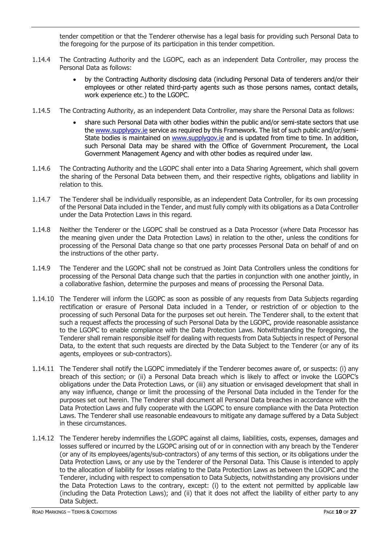tender competition or that the Tenderer otherwise has a legal basis for providing such Personal Data to the foregoing for the purpose of its participation in this tender competition.

- 1.14.4 The Contracting Authority and the LGOPC, each as an independent Data Controller, may process the Personal Data as follows:
	- · by the Contracting Authority disclosing data (including Personal Data of tenderers and/or their employees or other related third-party agents such as those persons names, contact details, work experience etc.) to the LGOPC.
- 1.14.5 The Contracting Authority, as an independent Data Controller, may share the Personal Data as follows:
	- · share such Personal Data with other bodies within the public and/or semi-state sectors that use the www.supplygov.ie service as required by this Framework. The list of such public and/or/semi-State bodies is maintained on www.supplygov.ie and is updated from time to time. In addition, such Personal Data may be shared with the Office of Government Procurement, the Local Government Management Agency and with other bodies as required under law.
- 1.14.6 The Contracting Authority and the LGOPC shall enter into a Data Sharing Agreement, which shall govern the sharing of the Personal Data between them, and their respective rights, obligations and liability in relation to this.
- 1.14.7 The Tenderer shall be individually responsible, as an independent Data Controller, for its own processing of the Personal Data included in the Tender, and must fully comply with its obligations as a Data Controller under the Data Protection Laws in this regard.
- 1.14.8 Neither the Tenderer or the LGOPC shall be construed as a Data Processor (where Data Processor has the meaning given under the Data Protection Laws) in relation to the other, unless the conditions for processing of the Personal Data change so that one party processes Personal Data on behalf of and on the instructions of the other party.
- 1.14.9 The Tenderer and the LGOPC shall not be construed as Joint Data Controllers unless the conditions for processing of the Personal Data change such that the parties in conjunction with one another jointly, in a collaborative fashion, determine the purposes and means of processing the Personal Data.
- 1.14.10 The Tenderer will inform the LGOPC as soon as possible of any requests from Data Subjects regarding rectification or erasure of Personal Data included in a Tender, or restriction of or objection to the processing of such Personal Data for the purposes set out herein. The Tenderer shall, to the extent that such a request affects the processing of such Personal Data by the LGOPC, provide reasonable assistance to the LGOPC to enable compliance with the Data Protection Laws. Notwithstanding the foregoing, the Tenderer shall remain responsible itself for dealing with requests from Data Subjects in respect of Personal Data, to the extent that such requests are directed by the Data Subject to the Tenderer (or any of its agents, employees or sub-contractors).
- 1.14.11 The Tenderer shall notify the LGOPC immediately if the Tenderer becomes aware of, or suspects: (i) any breach of this section; or (ii) a Personal Data breach which is likely to affect or invoke the LGOPC's obligations under the Data Protection Laws, or (iii) any situation or envisaged development that shall in any way influence, change or limit the processing of the Personal Data included in the Tender for the purposes set out herein. The Tenderer shall document all Personal Data breaches in accordance with the Data Protection Laws and fully cooperate with the LGOPC to ensure compliance with the Data Protection Laws. The Tenderer shall use reasonable endeavours to mitigate any damage suffered by a Data Subject in these circumstances.
- 1.14.12 The Tenderer hereby indemnifies the LGOPC against all claims, liabilities, costs, expenses, damages and losses suffered or incurred by the LGOPC arising out of or in connection with any breach by the Tenderer (or any of its employees/agents/sub-contractors) of any terms of this section, or its obligations under the Data Protection Laws, or any use by the Tenderer of the Personal Data. This Clause is intended to apply to the allocation of liability for losses relating to the Data Protection Laws as between the LGOPC and the Tenderer, including with respect to compensation to Data Subjects, notwithstanding any provisions under the Data Protection Laws to the contrary, except: (i) to the extent not permitted by applicable law (including the Data Protection Laws); and (ii) that it does not affect the liability of either party to any Data Subject.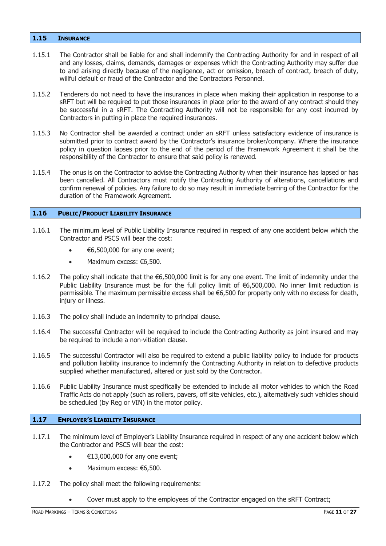## **1.15 INSURANCE**

- 1.15.1 The Contractor shall be liable for and shall indemnify the Contracting Authority for and in respect of all and any losses, claims, demands, damages or expenses which the Contracting Authority may suffer due to and arising directly because of the negligence, act or omission, breach of contract, breach of duty, willful default or fraud of the Contractor and the Contractors Personnel.
- 1.15.2 Tenderers do not need to have the insurances in place when making their application in response to a sRFT but will be required to put those insurances in place prior to the award of any contract should they be successful in a sRFT. The Contracting Authority will not be responsible for any cost incurred by Contractors in putting in place the required insurances.
- 1.15.3 No Contractor shall be awarded a contract under an sRFT unless satisfactory evidence of insurance is submitted prior to contract award by the Contractor's insurance broker/company. Where the insurance policy in question lapses prior to the end of the period of the Framework Agreement it shall be the responsibility of the Contractor to ensure that said policy is renewed.
- 1.15.4 The onus is on the Contractor to advise the Contracting Authority when their insurance has lapsed or has been cancelled. All Contractors must notify the Contracting Authority of alterations, cancellations and confirm renewal of policies. Any failure to do so may result in immediate barring of the Contractor for the duration of the Framework Agreement.

# **1.16 PUBLIC/PRODUCT LIABILITY INSURANCE**

- 1.16.1 The minimum level of Public Liability Insurance required in respect of any one accident below which the Contractor and PSCS will bear the cost:
	- $\bullet \qquad \epsilon$ 6,500,000 for any one event;
	- · Maximum excess: €6,500.
- 1.16.2 The policy shall indicate that the €6,500,000 limit is for any one event. The limit of indemnity under the Public Liability Insurance must be for the full policy limit of  $\epsilon$ 6,500,000. No inner limit reduction is permissible. The maximum permissible excess shall be €6,500 for property only with no excess for death, injury or illness.
- 1.16.3 The policy shall include an indemnity to principal clause.
- 1.16.4 The successful Contractor will be required to include the Contracting Authority as joint insured and may be required to include a non-vitiation clause.
- 1.16.5 The successful Contractor will also be required to extend a public liability policy to include for products and pollution liability insurance to indemnify the Contracting Authority in relation to defective products supplied whether manufactured, altered or just sold by the Contractor.
- 1.16.6 Public Liability Insurance must specifically be extended to include all motor vehicles to which the Road Traffic Acts do not apply (such as rollers, pavers, off site vehicles, etc.), alternatively such vehicles should be scheduled (by Reg or VIN) in the motor policy.

# **1.17 EMPLOYER'S LIABILITY INSURANCE**

- 1.17.1 The minimum level of Employer's Liability Insurance required in respect of any one accident below which the Contractor and PSCS will bear the cost:
	- $£13,000,000$  for any one event;
	- · Maximum excess: €6,500.
- 1.17.2 The policy shall meet the following requirements:
	- · Cover must apply to the employees of the Contractor engaged on the sRFT Contract;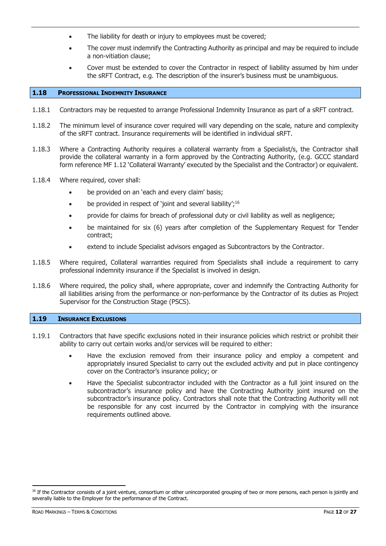- The liability for death or injury to employees must be covered;
- The cover must indemnify the Contracting Authority as principal and may be required to include a non-vitiation clause;
- Cover must be extended to cover the Contractor in respect of liability assumed by him under the sRFT Contract, e.g. The description of the insurer's business must be unambiguous.

# **1.18 PROFESSIONAL INDEMNITY INSURANCE**

- 1.18.1 Contractors may be requested to arrange Professional Indemnity Insurance as part of a sRFT contract.
- 1.18.2 The minimum level of insurance cover required will vary depending on the scale, nature and complexity of the sRFT contract. Insurance requirements will be identified in individual sRFT.
- 1.18.3 Where a Contracting Authority requires a collateral warranty from a Specialist/s, the Contractor shall provide the collateral warranty in a form approved by the Contracting Authority, (e.g. GCCC standard form reference MF 1.12 'Collateral Warranty' executed by the Specialist and the Contractor) or equivalent.
- 1.18.4 Where required, cover shall:
	- · be provided on an 'each and every claim' basis;
	- be provided in respect of 'joint and several liability',  $16$
	- · provide for claims for breach of professional duty or civil liability as well as negligence;
	- be maintained for six (6) years after completion of the Supplementary Request for Tender contract;
	- extend to include Specialist advisors engaged as Subcontractors by the Contractor.
- 1.18.5 Where required, Collateral warranties required from Specialists shall include a requirement to carry professional indemnity insurance if the Specialist is involved in design.
- 1.18.6 Where required, the policy shall, where appropriate, cover and indemnify the Contracting Authority for all liabilities arising from the performance or non-performance by the Contractor of its duties as Project Supervisor for the Construction Stage (PSCS).

# **1.19 INSURANCE EXCLUSIONS**

- 1.19.1 Contractors that have specific exclusions noted in their insurance policies which restrict or prohibit their ability to carry out certain works and/or services will be required to either:
	- Have the exclusion removed from their insurance policy and employ a competent and appropriately insured Specialist to carry out the excluded activity and put in place contingency cover on the Contractor's insurance policy; or
	- Have the Specialist subcontractor included with the Contractor as a full joint insured on the subcontractor's insurance policy and have the Contracting Authority joint insured on the subcontractor's insurance policy. Contractors shall note that the Contracting Authority will not be responsible for any cost incurred by the Contractor in complying with the insurance requirements outlined above.

<sup>&</sup>lt;sup>16</sup> If the Contractor consists of a joint venture, consortium or other unincorporated grouping of two or more persons, each person is jointly and severally liable to the Employer for the performance of the Contract.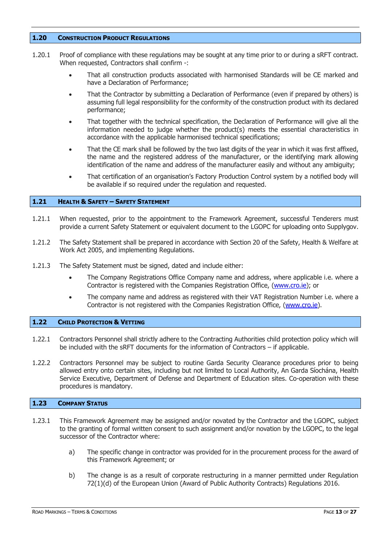## **1.20 CONSTRUCTION PRODUCT REGULATIONS**

- 1.20.1 Proof of compliance with these regulations may be sought at any time prior to or during a sRFT contract. When requested, Contractors shall confirm -:
	- · That all construction products associated with harmonised Standards will be CE marked and have a Declaration of Performance;
	- · That the Contractor by submitting a Declaration of Performance (even if prepared by others) is assuming full legal responsibility for the conformity of the construction product with its declared performance;
	- · That together with the technical specification, the Declaration of Performance will give all the information needed to judge whether the product(s) meets the essential characteristics in accordance with the applicable harmonised technical specifications;
	- · That the CE mark shall be followed by the two last digits of the year in which it was first affixed, the name and the registered address of the manufacturer, or the identifying mark allowing identification of the name and address of the manufacturer easily and without any ambiguity;
	- · That certification of an organisation's Factory Production Control system by a notified body will be available if so required under the regulation and requested.

## **1.21 HEALTH & SAFETY – SAFETY STATEMENT**

- 1.21.1 When requested, prior to the appointment to the Framework Agreement, successful Tenderers must provide a current Safety Statement or equivalent document to the LGOPC for uploading onto Supplygov.
- 1.21.2 The Safety Statement shall be prepared in accordance with Section 20 of the Safety, Health & Welfare at Work Act 2005, and implementing Regulations.
- 1.21.3 The Safety Statement must be signed, dated and include either:
	- · The Company Registrations Office Company name and address, where applicable i.e. where a Contractor is registered with the Companies Registration Office, (www.cro.ie); or
	- The company name and address as registered with their VAT Registration Number i.e. where a Contractor is not registered with the Companies Registration Office, (www.cro.ie).

#### **1.22 CHILD PROTECTION & VETTING**

- 1.22.1 Contractors Personnel shall strictly adhere to the Contracting Authorities child protection policy which will be included with the sRFT documents for the information of Contractors – if applicable.
- 1.22.2 Contractors Personnel may be subject to routine Garda Security Clearance procedures prior to being allowed entry onto certain sites, including but not limited to Local Authority, An Garda Síochána, Health Service Executive, Department of Defense and Department of Education sites. Co-operation with these procedures is mandatory.

# **1.23 COMPANY STATUS**

- 1.23.1 This Framework Agreement may be assigned and/or novated by the Contractor and the LGOPC, subject to the granting of formal written consent to such assignment and/or novation by the LGOPC, to the legal successor of the Contractor where:
	- a) The specific change in contractor was provided for in the procurement process for the award of this Framework Agreement; or
	- b) The change is as a result of corporate restructuring in a manner permitted under Regulation 72(1)(d) of the European Union (Award of Public Authority Contracts) Regulations 2016.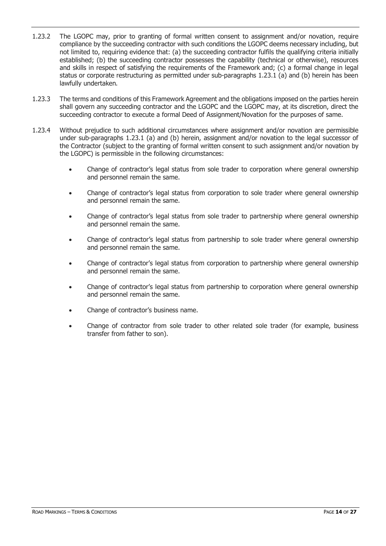- 1.23.2 The LGOPC may, prior to granting of formal written consent to assignment and/or novation, require compliance by the succeeding contractor with such conditions the LGOPC deems necessary including, but not limited to, requiring evidence that: (a) the succeeding contractor fulfils the qualifying criteria initially established; (b) the succeeding contractor possesses the capability (technical or otherwise), resources and skills in respect of satisfying the requirements of the Framework and; (c) a formal change in legal status or corporate restructuring as permitted under sub-paragraphs 1.23.1 (a) and (b) herein has been lawfully undertaken.
- 1.23.3 The terms and conditions of this Framework Agreement and the obligations imposed on the parties herein shall govern any succeeding contractor and the LGOPC and the LGOPC may, at its discretion, direct the succeeding contractor to execute a formal Deed of Assignment/Novation for the purposes of same.
- 1.23.4 Without prejudice to such additional circumstances where assignment and/or novation are permissible under sub-paragraphs 1.23.1 (a) and (b) herein, assignment and/or novation to the legal successor of the Contractor (subject to the granting of formal written consent to such assignment and/or novation by the LGOPC) is permissible in the following circumstances:
	- · Change of contractor's legal status from sole trader to corporation where general ownership and personnel remain the same.
	- · Change of contractor's legal status from corporation to sole trader where general ownership and personnel remain the same.
	- · Change of contractor's legal status from sole trader to partnership where general ownership and personnel remain the same.
	- · Change of contractor's legal status from partnership to sole trader where general ownership and personnel remain the same.
	- · Change of contractor's legal status from corporation to partnership where general ownership and personnel remain the same.
	- · Change of contractor's legal status from partnership to corporation where general ownership and personnel remain the same.
	- · Change of contractor's business name.
	- · Change of contractor from sole trader to other related sole trader (for example, business transfer from father to son).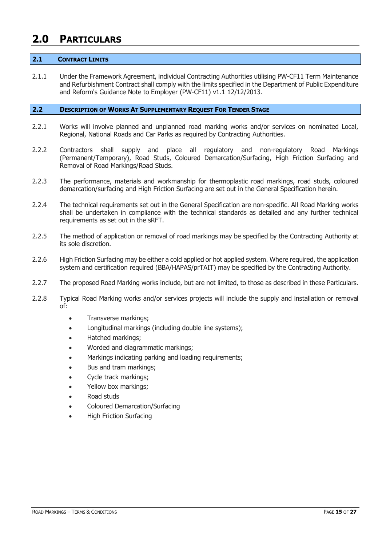# **2.0 PARTICULARS**

# **2.1 CONTRACT LIMITS**

2.1.1 Under the Framework Agreement, individual Contracting Authorities utilising PW-CF11 Term Maintenance and Refurbishment Contract shall comply with the limits specified in the Department of Public Expenditure and Reform's Guidance Note to Employer (PW-CF11) v1.1 12/12/2013.

# **2.2 DESCRIPTION OF WORKS AT SUPPLEMENTARY REQUEST FOR TENDER STAGE**

- 2.2.1 Works will involve planned and unplanned road marking works and/or services on nominated Local, Regional, National Roads and Car Parks as required by Contracting Authorities.
- 2.2.2 Contractors shall supply and place all regulatory and non-regulatory Road Markings (Permanent/Temporary), Road Studs, Coloured Demarcation/Surfacing, High Friction Surfacing and Removal of Road Markings/Road Studs.
- 2.2.3 The performance, materials and workmanship for thermoplastic road markings, road studs, coloured demarcation/surfacing and High Friction Surfacing are set out in the General Specification herein.
- 2.2.4 The technical requirements set out in the General Specification are non-specific. All Road Marking works shall be undertaken in compliance with the technical standards as detailed and any further technical requirements as set out in the sRFT.
- 2.2.5 The method of application or removal of road markings may be specified by the Contracting Authority at its sole discretion.
- 2.2.6 High Friction Surfacing may be either a cold applied or hot applied system. Where required, the application system and certification required (BBA/HAPAS/prTAIT) may be specified by the Contracting Authority.
- 2.2.7 The proposed Road Marking works include, but are not limited, to those as described in these Particulars.
- 2.2.8 Typical Road Marking works and/or services projects will include the supply and installation or removal of:
	- · Transverse markings;
	- Longitudinal markings (including double line systems);
	- · Hatched markings;
	- · Worded and diagrammatic markings;
	- Markings indicating parking and loading requirements;
	- Bus and tram markings;
	- Cycle track markings;
	- Yellow box markings;
	- · Road studs
	- · Coloured Demarcation/Surfacing
	- **High Friction Surfacing**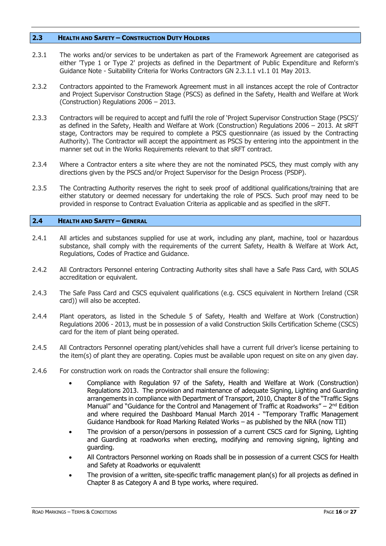### **2.3 HEALTH AND SAFETY – CONSTRUCTION DUTY HOLDERS**

- 2.3.1 The works and/or services to be undertaken as part of the Framework Agreement are categorised as either 'Type 1 or Type 2' projects as defined in the Department of Public Expenditure and Reform's Guidance Note - Suitability Criteria for Works Contractors GN 2.3.1.1 v1.1 01 May 2013.
- 2.3.2 Contractors appointed to the Framework Agreement must in all instances accept the role of Contractor and Project Supervisor Construction Stage (PSCS) as defined in the Safety, Health and Welfare at Work (Construction) Regulations 2006 – 2013.
- 2.3.3 Contractors will be required to accept and fulfil the role of 'Project Supervisor Construction Stage (PSCS)' as defined in the Safety, Health and Welfare at Work (Construction) Regulations 2006 – 2013. At sRFT stage, Contractors may be required to complete a PSCS questionnaire (as issued by the Contracting Authority). The Contractor will accept the appointment as PSCS by entering into the appointment in the manner set out in the Works Requirements relevant to that sRFT contract.
- 2.3.4 Where a Contractor enters a site where they are not the nominated PSCS, they must comply with any directions given by the PSCS and/or Project Supervisor for the Design Process (PSDP).
- 2.3.5 The Contracting Authority reserves the right to seek proof of additional qualifications/training that are either statutory or deemed necessary for undertaking the role of PSCS. Such proof may need to be provided in response to Contract Evaluation Criteria as applicable and as specified in the sRFT.

# **2.4 HEALTH AND SAFETY – GENERAL**

- 2.4.1 All articles and substances supplied for use at work, including any plant, machine, tool or hazardous substance, shall comply with the requirements of the current Safety, Health & Welfare at Work Act, Regulations, Codes of Practice and Guidance.
- 2.4.2 All Contractors Personnel entering Contracting Authority sites shall have a Safe Pass Card, with SOLAS accreditation or equivalent.
- 2.4.3 The Safe Pass Card and CSCS equivalent qualifications (e.g. CSCS equivalent in Northern Ireland (CSR card)) will also be accepted.
- 2.4.4 Plant operators, as listed in the Schedule 5 of Safety, Health and Welfare at Work (Construction) Regulations 2006 - 2013, must be in possession of a valid Construction Skills Certification Scheme (CSCS) card for the item of plant being operated.
- 2.4.5 All Contractors Personnel operating plant/vehicles shall have a current full driver's license pertaining to the item(s) of plant they are operating. Copies must be available upon request on site on any given day.
- 2.4.6 For construction work on roads the Contractor shall ensure the following:
	- Compliance with Regulation 97 of the Safety, Health and Welfare at Work (Construction) Regulations 2013. The provision and maintenance of adequate Signing, Lighting and Guarding arrangements in compliance with Department of Transport, 2010, Chapter 8 of the "Traffic Signs Manual" and "Guidance for the Control and Management of Traffic at Roadworks" –  $2^{nd}$  Edition and where required the Dashboard Manual March 2014 - "Temporary Traffic Management Guidance Handbook for Road Marking Related Works – as published by the NRA (now TII)
	- The provision of a person/persons in possession of a current CSCS card for Signing, Lighting and Guarding at roadworks when erecting, modifying and removing signing, lighting and guarding.
	- All Contractors Personnel working on Roads shall be in possession of a current CSCS for Health and Safety at Roadworks or equivalentt
	- The provision of a written, site-specific traffic management plan(s) for all projects as defined in Chapter 8 as Category A and B type works, where required.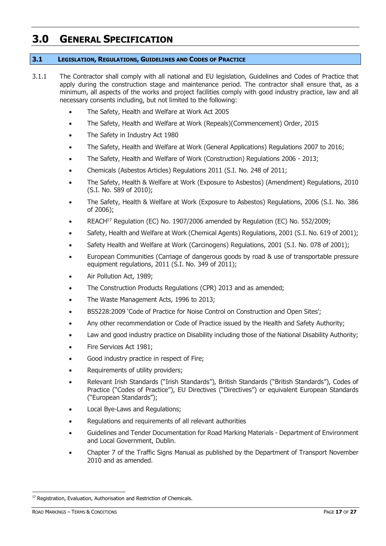# **3.0 GENERAL SPECIFICATION**

# **3.1 LEGISLATION, REGULATIONS, GUIDELINES AND CODES OF PRACTICE**

- 3.1.1 The Contractor shall comply with all national and EU legislation, Guidelines and Codes of Practice that apply during the construction stage and maintenance period. The contractor shall ensure that, as a minimum, all aspects of the works and project facilities comply with good industry practice, law and all necessary consents including, but not limited to the following:
	- The Safety, Health and Welfare at Work Act 2005
	- · The Safety, Health and Welfare at Work (Repeals)(Commencement) Order, 2015
	- · The Safety in Industry Act 1980
	- · The Safety, Health and Welfare at Work (General Applications) Regulations 2007 to 2016;
	- · The Safety, Health and Welfare of Work (Construction) Regulations 2006 2013;
	- · Chemicals (Asbestos Articles) Regulations 2011 (S.I. No. 248 of 2011;
	- · The Safety, Health & Welfare at Work (Exposure to Asbestos) (Amendment) Regulations, 2010 (S.I. No. 589 of 2010);
	- · The Safety, Health & Welfare at Work (Exposure to Asbestos) Regulations, 2006 (S.I. No. 386 of 2006);
	- REACH $^{17}$  Regulation (EC) No. 1907/2006 amended by Regulation (EC) No. 552/2009;
	- Safety, Health and Welfare at Work (Chemical Agents) Regulations, 2001 (S.I. No. 619 of 2001);
	- Safety Health and Welfare at Work (Carcinogens) Regulations, 2001 (S.I. No. 078 of 2001);
	- · European Communities (Carriage of dangerous goods by road & use of transportable pressure equipment regulations, 2011 (S.I. No. 349 of 2011);
	- Air Pollution Act, 1989;
	- The Construction Products Regulations (CPR) 2013 and as amended;
	- The Waste Management Acts, 1996 to 2013;
	- · BS5228:2009 'Code of Practice for Noise Control on Construction and Open Sites';
	- · Any other recommendation or Code of Practice issued by the Health and Safety Authority;
	- Law and good industry practice on Disability including those of the National Disability Authority;
	- Fire Services Act 1981;
	- Good industry practice in respect of Fire;
	- Requirements of utility providers;
	- · Relevant Irish Standards ("Irish Standards"), British Standards ("British Standards"), Codes of Practice ("Codes of Practice"), EU Directives ("Directives") or equivalent European Standards ("European Standards");
	- Local Bye-Laws and Regulations;
	- Regulations and requirements of all relevant authorities
	- · Guidelines and Tender Documentation for Road Marking Materials Department of Environment and Local Government, Dublin.
	- · Chapter 7 of the Traffic Signs Manual as published by the Department of Transport November 2010 and as amended.

<sup>&</sup>lt;sup>17</sup> Registration, Evaluation, Authorisation and Restriction of Chemicals.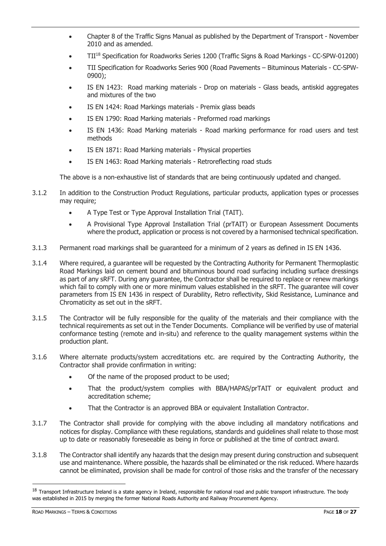- · Chapter 8 of the Traffic Signs Manual as published by the Department of Transport November 2010 and as amended.
- · TII18 Specification for Roadworks Series 1200 (Traffic Signs & Road Markings CC-SPW-01200)
- · TII Specification for Roadworks Series 900 (Road Pavements Bituminous Materials CC-SPW-0900);
- · IS EN 1423: Road marking materials Drop on materials Glass beads, antiskid aggregates and mixtures of the two
- IS EN 1424: Road Markings materials Premix glass beads
- IS EN 1790: Road Marking materials Preformed road markings
- · IS EN 1436: Road Marking materials Road marking performance for road users and test methods
- · IS EN 1871: Road Marking materials Physical properties
- · IS EN 1463: Road Marking materials Retroreflecting road studs

The above is a non-exhaustive list of standards that are being continuously updated and changed.

- 3.1.2 In addition to the Construction Product Regulations, particular products, application types or processes may require;
	- · A Type Test or Type Approval Installation Trial (TAIT).
	- · A Provisional Type Approval Installation Trial (prTAIT) or European Assessment Documents where the product, application or process is not covered by a harmonised technical specification.
- 3.1.3 Permanent road markings shall be guaranteed for a minimum of 2 years as defined in IS EN 1436.
- 3.1.4 Where required, a guarantee will be requested by the Contracting Authority for Permanent Thermoplastic Road Markings laid on cement bound and bituminous bound road surfacing including surface dressings as part of any sRFT. During any guarantee, the Contractor shall be required to replace or renew markings which fail to comply with one or more minimum values established in the sRFT. The guarantee will cover parameters from IS EN 1436 in respect of Durability, Retro reflectivity, Skid Resistance, Luminance and Chromaticity as set out in the sRFT.
- 3.1.5 The Contractor will be fully responsible for the quality of the materials and their compliance with the technical requirements as set out in the Tender Documents. Compliance will be verified by use of material conformance testing (remote and in-situ) and reference to the quality management systems within the production plant.
- 3.1.6 Where alternate products/system accreditations etc. are required by the Contracting Authority, the Contractor shall provide confirmation in writing:
	- · Of the name of the proposed product to be used;
	- · That the product/system complies with BBA/HAPAS/prTAIT or equivalent product and accreditation scheme;
	- · That the Contractor is an approved BBA or equivalent Installation Contractor.
- 3.1.7 The Contractor shall provide for complying with the above including all mandatory notifications and notices for display. Compliance with these regulations, standards and guidelines shall relate to those most up to date or reasonably foreseeable as being in force or published at the time of contract award.
- 3.1.8 The Contractor shall identify any hazards that the design may present during construction and subsequent use and maintenance. Where possible, the hazards shall be eliminated or the risk reduced. Where hazards cannot be eliminated, provision shall be made for control of those risks and the transfer of the necessary

<sup>&</sup>lt;sup>18</sup> Transport Infrastructure Ireland is a state agency in Ireland, responsible for national road and public transport infrastructure. The body was established in 2015 by merging the former National Roads Authority and Railway Procurement Agency.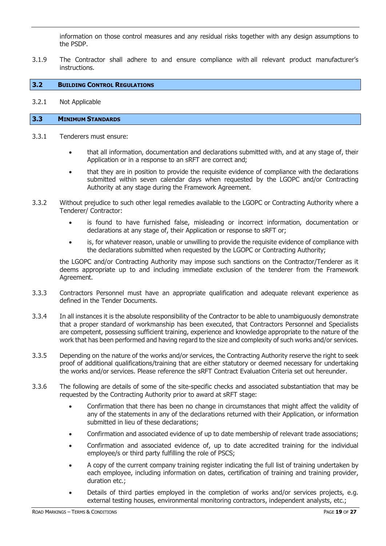information on those control measures and any residual risks together with any design assumptions to the PSDP.

3.1.9 The Contractor shall adhere to and ensure compliance with all relevant product manufacturer's instructions.

# **3.2 BUILDING CONTROL REGULATIONS**

3.2.1 Not Applicable

#### **3.3 MINIMUM STANDARDS**

- 3.3.1 Tenderers must ensure:
	- · that all information, documentation and declarations submitted with, and at any stage of, their Application or in a response to an sRFT are correct and;
	- that they are in position to provide the requisite evidence of compliance with the declarations submitted within seven calendar days when requested by the LGOPC and/or Contracting Authority at any stage during the Framework Agreement.
- 3.3.2 Without prejudice to such other legal remedies available to the LGOPC or Contracting Authority where a Tenderer/ Contractor:
	- is found to have furnished false, misleading or incorrect information, documentation or declarations at any stage of, their Application or response to sRFT or;
	- · is, for whatever reason, unable or unwilling to provide the requisite evidence of compliance with the declarations submitted when requested by the LGOPC or Contracting Authority;

the LGOPC and/or Contracting Authority may impose such sanctions on the Contractor/Tenderer as it deems appropriate up to and including immediate exclusion of the tenderer from the Framework Agreement.

- 3.3.3 Contractors Personnel must have an appropriate qualification and adequate relevant experience as defined in the Tender Documents.
- 3.3.4 In all instances it is the absolute responsibility of the Contractor to be able to unambiguously demonstrate that a proper standard of workmanship has been executed, that Contractors Personnel and Specialists are competent, possessing sufficient training, experience and knowledge appropriate to the nature of the work that has been performed and having regard to the size and complexity of such works and/or services.
- 3.3.5 Depending on the nature of the works and/or services, the Contracting Authority reserve the right to seek proof of additional qualifications/training that are either statutory or deemed necessary for undertaking the works and/or services. Please reference the sRFT Contract Evaluation Criteria set out hereunder.
- 3.3.6 The following are details of some of the site-specific checks and associated substantiation that may be requested by the Contracting Authority prior to award at sRFT stage:
	- Confirmation that there has been no change in circumstances that might affect the validity of any of the statements in any of the declarations returned with their Application, or information submitted in lieu of these declarations;
	- · Confirmation and associated evidence of up to date membership of relevant trade associations;
	- · Confirmation and associated evidence of, up to date accredited training for the individual employee/s or third party fulfilling the role of PSCS;
	- · A copy of the current company training register indicating the full list of training undertaken by each employee, including information on dates, certification of training and training provider, duration etc.;
	- Details of third parties employed in the completion of works and/or services projects, e.g. external testing houses, environmental monitoring contractors, independent analysts, etc.;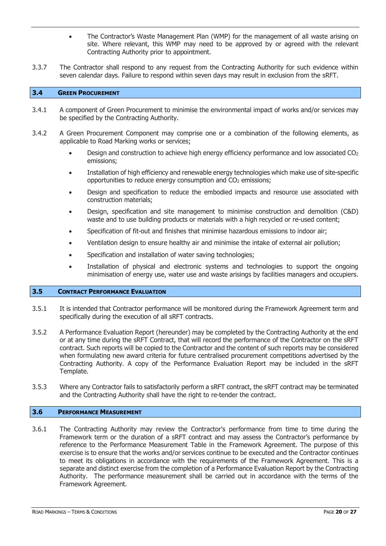- · The Contractor's Waste Management Plan (WMP) for the management of all waste arising on site. Where relevant, this WMP may need to be approved by or agreed with the relevant Contracting Authority prior to appointment.
- 3.3.7 The Contractor shall respond to any request from the Contracting Authority for such evidence within seven calendar days. Failure to respond within seven days may result in exclusion from the sRFT.

## **3.4 GREEN PROCUREMENT**

- 3.4.1 A component of Green Procurement to minimise the environmental impact of works and/or services may be specified by the Contracting Authority.
- 3.4.2 A Green Procurement Component may comprise one or a combination of the following elements, as applicable to Road Marking works or services;
	- Design and construction to achieve high energy efficiency performance and low associated  $CO<sub>2</sub>$ emissions;
	- Installation of high efficiency and renewable energy technologies which make use of site-specific opportunities to reduce energy consumption and CO<sub>2</sub> emissions;
	- · Design and specification to reduce the embodied impacts and resource use associated with construction materials;
	- · Design, specification and site management to minimise construction and demolition (C&D) waste and to use building products or materials with a high recycled or re-used content;
	- · Specification of fit-out and finishes that minimise hazardous emissions to indoor air;
	- · Ventilation design to ensure healthy air and minimise the intake of external air pollution;
	- Specification and installation of water saving technologies;
	- · Installation of physical and electronic systems and technologies to support the ongoing minimisation of energy use, water use and waste arisings by facilities managers and occupiers.

#### **3.5 CONTRACT PERFORMANCE EVALUATION**

- 3.5.1 It is intended that Contractor performance will be monitored during the Framework Agreement term and specifically during the execution of all sRFT contracts.
- 3.5.2 A Performance Evaluation Report (hereunder) may be completed by the Contracting Authority at the end or at any time during the sRFT Contract, that will record the performance of the Contractor on the sRFT contract. Such reports will be copied to the Contractor and the content of such reports may be considered when formulating new award criteria for future centralised procurement competitions advertised by the Contracting Authority. A copy of the Performance Evaluation Report may be included in the sRFT Template.
- 3.5.3 Where any Contractor fails to satisfactorily perform a sRFT contract, the sRFT contract may be terminated and the Contracting Authority shall have the right to re-tender the contract.

# **3.6 PERFORMANCE MEASUREMENT**

3.6.1 The Contracting Authority may review the Contractor's performance from time to time during the Framework term or the duration of a sRFT contract and may assess the Contractor's performance by reference to the Performance Measurement Table in the Framework Agreement. The purpose of this exercise is to ensure that the works and/or services continue to be executed and the Contractor continues to meet its obligations in accordance with the requirements of the Framework Agreement. This is a separate and distinct exercise from the completion of a Performance Evaluation Report by the Contracting Authority. The performance measurement shall be carried out in accordance with the terms of the Framework Agreement.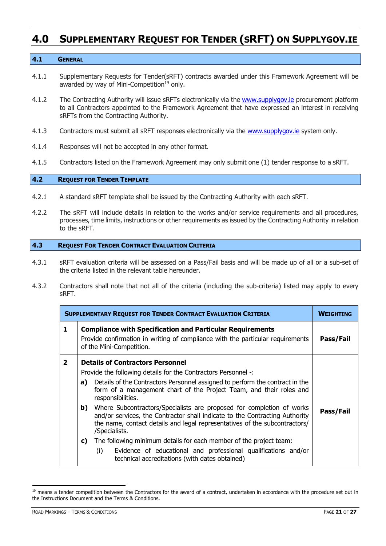# **4.0 SUPPLEMENTARY REQUEST FOR TENDER (SRFT) ON SUPPLYGOV.IE**

# **4.1 GENERAL**

- 4.1.1 Supplementary Requests for Tender(sRFT) contracts awarded under this Framework Agreement will be awarded by way of Mini-Competition $^{19}$  only.
- 4.1.2 The Contracting Authority will issue sRFTs electronically via the www.supplygov.ie procurement platform to all Contractors appointed to the Framework Agreement that have expressed an interest in receiving sRFTs from the Contracting Authority.
- 4.1.3 Contractors must submit all sRFT responses electronically via the www.supplygov.ie system only.
- 4.1.4 Responses will not be accepted in any other format.
- 4.1.5 Contractors listed on the Framework Agreement may only submit one (1) tender response to a sRFT.

# **4.2 REQUEST FOR TENDER TEMPLATE**

- 4.2.1 A standard sRFT template shall be issued by the Contracting Authority with each sRFT.
- 4.2.2 The sRFT will include details in relation to the works and/or service requirements and all procedures, processes, time limits, instructions or other requirements as issued by the Contracting Authority in relation to the sRFT.

#### **4.3 REQUEST FOR TENDER CONTRACT EVALUATION CRITERIA**

- 4.3.1 sRFT evaluation criteria will be assessed on a Pass/Fail basis and will be made up of all or a sub-set of the criteria listed in the relevant table hereunder.
- 4.3.2 Contractors shall note that not all of the criteria (including the sub-criteria) listed may apply to every sRFT.

| <b>SUPPLEMENTARY REQUEST FOR TENDER CONTRACT EVALUATION CRITERIA</b> |                                                                                                                                                                                                                                                                                                                                                                                                                                                                                                                                                                                                                                                                                                                                                                 |           |  |
|----------------------------------------------------------------------|-----------------------------------------------------------------------------------------------------------------------------------------------------------------------------------------------------------------------------------------------------------------------------------------------------------------------------------------------------------------------------------------------------------------------------------------------------------------------------------------------------------------------------------------------------------------------------------------------------------------------------------------------------------------------------------------------------------------------------------------------------------------|-----------|--|
| 1                                                                    | <b>Compliance with Specification and Particular Requirements</b><br>Provide confirmation in writing of compliance with the particular requirements<br>of the Mini-Competition.                                                                                                                                                                                                                                                                                                                                                                                                                                                                                                                                                                                  |           |  |
| $\mathbf{z}$                                                         | <b>Details of Contractors Personnel</b><br>Provide the following details for the Contractors Personnel -:<br>Details of the Contractors Personnel assigned to perform the contract in the<br>a)<br>form of a management chart of the Project Team, and their roles and<br>responsibilities.<br>Where Subcontractors/Specialists are proposed for completion of works<br>b)<br>and/or services, the Contractor shall indicate to the Contracting Authority<br>the name, contact details and legal representatives of the subcontractors/<br>/Specialists.<br>The following minimum details for each member of the project team:<br>C)<br>Evidence of educational and professional qualifications and/or<br>(i)<br>technical accreditations (with dates obtained) | Pass/Fail |  |

<sup>&</sup>lt;sup>19</sup> means a tender competition between the Contractors for the award of a contract, undertaken in accordance with the procedure set out in the Instructions Document and the Terms & Conditions.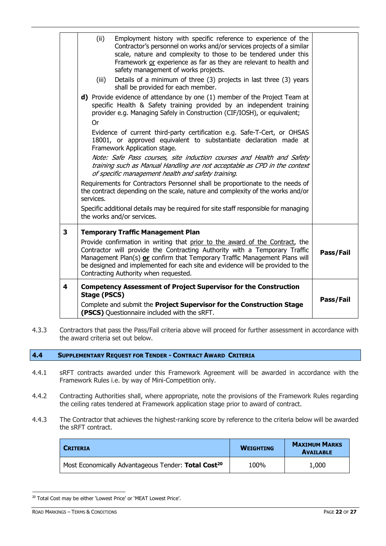| (ii)                     | Employment history with specific reference to experience of the<br>Contractor's personnel on works and/or services projects of a similar<br>scale, nature and complexity to those to be tendered under this<br>Framework or experience as far as they are relevant to health and<br>safety management of works projects.<br>Details of a minimum of three (3) projects in last three (3) years |           |  |
|--------------------------|------------------------------------------------------------------------------------------------------------------------------------------------------------------------------------------------------------------------------------------------------------------------------------------------------------------------------------------------------------------------------------------------|-----------|--|
| (iii)                    | shall be provided for each member.                                                                                                                                                                                                                                                                                                                                                             |           |  |
| 0r                       | d) Provide evidence of attendance by one (1) member of the Project Team at<br>specific Health & Safety training provided by an independent training<br>provider e.g. Managing Safely in Construction (CIF/IOSH), or equivalent;                                                                                                                                                                |           |  |
|                          | Evidence of current third-party certification e.g. Safe-T-Cert, or OHSAS<br>18001, or approved equivalent to substantiate declaration made at<br>Framework Application stage.                                                                                                                                                                                                                  |           |  |
|                          | Note: Safe Pass courses, site induction courses and Health and Safety<br>training such as Manual Handling are not acceptable as CPD in the context<br>of specific management health and safety training.                                                                                                                                                                                       |           |  |
| services.                | Requirements for Contractors Personnel shall be proportionate to the needs of<br>the contract depending on the scale, nature and complexity of the works and/or                                                                                                                                                                                                                                |           |  |
|                          | Specific additional details may be required for site staff responsible for managing<br>the works and/or services.                                                                                                                                                                                                                                                                              |           |  |
| 3                        | <b>Temporary Traffic Management Plan</b>                                                                                                                                                                                                                                                                                                                                                       |           |  |
|                          | Provide confirmation in writing that prior to the award of the Contract, the<br>Contractor will provide the Contracting Authority with a Temporary Traffic<br>Management Plan(s) or confirm that Temporary Traffic Management Plans will<br>be designed and implemented for each site and evidence will be provided to the<br>Contracting Authority when requested.                            | Pass/Fail |  |
| 4<br><b>Stage (PSCS)</b> | <b>Competency Assessment of Project Supervisor for the Construction</b>                                                                                                                                                                                                                                                                                                                        | Pass/Fail |  |
|                          | Complete and submit the Project Supervisor for the Construction Stage<br>(PSCS) Questionnaire included with the sRFT.                                                                                                                                                                                                                                                                          |           |  |

4.3.3 Contractors that pass the Pass/Fail criteria above will proceed for further assessment in accordance with the award criteria set out below.

**4.4 SUPPLEMENTARY REQUEST FOR TENDER - CONTRACT AWARD CRITERIA**

- 4.4.1 sRFT contracts awarded under this Framework Agreement will be awarded in accordance with the Framework Rules i.e. by way of Mini-Competition only.
- 4.4.2 Contracting Authorities shall, where appropriate, note the provisions of the Framework Rules regarding the ceiling rates tendered at Framework application stage prior to award of contract.
- 4.4.3 The Contractor that achieves the highest-ranking score by reference to the criteria below will be awarded the sRFT contract.

| <b>CRITERIA</b>                                                 | <b>WEIGHTING</b> | <b>MAXIMUM MARKS</b><br><b>AVAILABLE</b> |  |  |
|-----------------------------------------------------------------|------------------|------------------------------------------|--|--|
| Most Economically Advantageous Tender: Total Cost <sup>20</sup> | 100%             | 1,000                                    |  |  |

<sup>&</sup>lt;sup>20</sup> Total Cost may be either 'Lowest Price' or 'MEAT Lowest Price'.

ROAD MARKINGS – TERMS & CONDITIONS PAGE **22** OF **27**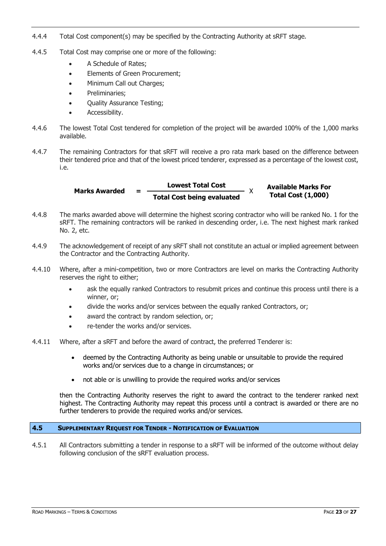- 4.4.4 Total Cost component(s) may be specified by the Contracting Authority at sRFT stage.
- 4.4.5 Total Cost may comprise one or more of the following:
	- · A Schedule of Rates;
	- · Elements of Green Procurement;
	- · Minimum Call out Charges;
	- · Preliminaries;
	- · Quality Assurance Testing;
	- · Accessibility.
- 4.4.6 The lowest Total Cost tendered for completion of the project will be awarded 100% of the 1,000 marks available.
- 4.4.7 The remaining Contractors for that sRFT will receive a pro rata mark based on the difference between their tendered price and that of the lowest priced tenderer, expressed as a percentage of the lowest cost, i.e.

**Marks Awarded <sup>=</sup> Lowest Total Cost** <sup>X</sup> **Available Marks For Total Cost (1,000) Total Cost being evaluated**

- 4.4.8 The marks awarded above will determine the highest scoring contractor who will be ranked No. 1 for the sRFT. The remaining contractors will be ranked in descending order, i.e. The next highest mark ranked No. 2, etc.
- 4.4.9 The acknowledgement of receipt of any sRFT shall not constitute an actual or implied agreement between the Contractor and the Contracting Authority.
- 4.4.10 Where, after a mini-competition, two or more Contractors are level on marks the Contracting Authority reserves the right to either;
	- · ask the equally ranked Contractors to resubmit prices and continue this process until there is a winner, or;
	- · divide the works and/or services between the equally ranked Contractors, or;
	- · award the contract by random selection, or;
	- re-tender the works and/or services.
- 4.4.11 Where, after a sRFT and before the award of contract, the preferred Tenderer is:
	- · deemed by the Contracting Authority as being unable or unsuitable to provide the required works and/or services due to a change in circumstances; or
	- not able or is unwilling to provide the required works and/or services

then the Contracting Authority reserves the right to award the contract to the tenderer ranked next highest. The Contracting Authority may repeat this process until a contract is awarded or there are no further tenderers to provide the required works and/or services.

# **4.5 SUPPLEMENTARY REQUEST FOR TENDER - NOTIFICATION OF EVALUATION**

4.5.1 All Contractors submitting a tender in response to a sRFT will be informed of the outcome without delay following conclusion of the sRFT evaluation process.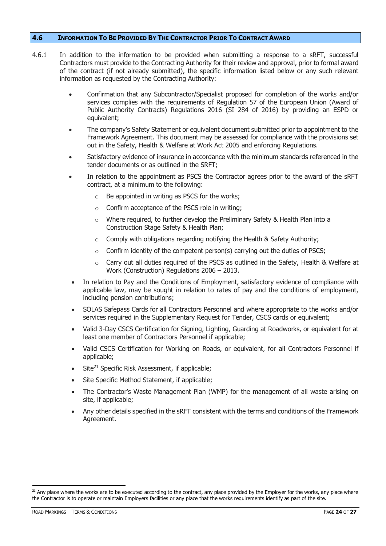#### **4.6 INFORMATION TO BE PROVIDED BY THE CONTRACTOR PRIOR TO CONTRACT AWARD**

- 4.6.1 In addition to the information to be provided when submitting a response to a sRFT, successful Contractors must provide to the Contracting Authority for their review and approval, prior to formal award of the contract (if not already submitted), the specific information listed below or any such relevant information as requested by the Contracting Authority:
	- · Confirmation that any Subcontractor/Specialist proposed for completion of the works and/or services complies with the requirements of Regulation 57 of the European Union (Award of Public Authority Contracts) Regulations 2016 (SI 284 of 2016) by providing an ESPD or equivalent;
	- · The company's Safety Statement or equivalent document submitted prior to appointment to the Framework Agreement. This document may be assessed for compliance with the provisions set out in the Safety, Health & Welfare at Work Act 2005 and enforcing Regulations.
	- Satisfactory evidence of insurance in accordance with the minimum standards referenced in the tender documents or as outlined in the SRFT;
	- In relation to the appointment as PSCS the Contractor agrees prior to the award of the sRFT contract, at a minimum to the following:
		- $\circ$  Be appointed in writing as PSCS for the works;
		- o Confirm acceptance of the PSCS role in writing;
		- o Where required, to further develop the Preliminary Safety & Health Plan into a Construction Stage Safety & Health Plan;
		- o Comply with obligations regarding notifying the Health & Safety Authority;
		- $\circ$  Confirm identity of the competent person(s) carrying out the duties of PSCS;
		- o Carry out all duties required of the PSCS as outlined in the Safety, Health & Welfare at Work (Construction) Regulations 2006 – 2013.
	- In relation to Pay and the Conditions of Employment, satisfactory evidence of compliance with applicable law, may be sought in relation to rates of pay and the conditions of employment, including pension contributions;
	- · SOLAS Safepass Cards for all Contractors Personnel and where appropriate to the works and/or services required in the Supplementary Request for Tender, CSCS cards or equivalent;
	- · Valid 3-Day CSCS Certification for Signing, Lighting, Guarding at Roadworks, or equivalent for at least one member of Contractors Personnel if applicable;
	- · Valid CSCS Certification for Working on Roads, or equivalent, for all Contractors Personnel if applicable;
	- Site<sup>21</sup> Specific Risk Assessment, if applicable;
	- Site Specific Method Statement, if applicable;
	- The Contractor's Waste Management Plan (WMP) for the management of all waste arising on site, if applicable;
	- · Any other details specified in the sRFT consistent with the terms and conditions of the Framework Agreement.

<sup>&</sup>lt;sup>21</sup> Any place where the works are to be executed according to the contract, any place provided by the Employer for the works, any place where the Contractor is to operate or maintain Employers facilities or any place that the works requirements identify as part of the site.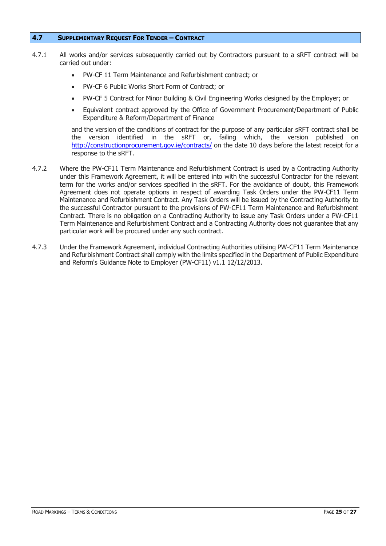# **4.7 SUPPLEMENTARY REQUEST FOR TENDER – CONTRACT**

- 4.7.1 All works and/or services subsequently carried out by Contractors pursuant to a sRFT contract will be carried out under:
	- PW-CF 11 Term Maintenance and Refurbishment contract; or
	- PW-CF 6 Public Works Short Form of Contract; or
	- · PW-CF 5 Contract for Minor Building & Civil Engineering Works designed by the Employer; or
	- Equivalent contract approved by the Office of Government Procurement/Department of Public Expenditure & Reform/Department of Finance

and the version of the conditions of contract for the purpose of any particular sRFT contract shall be the version identified in the sRFT or, failing which, the version published on http://constructionprocurement.gov.ie/contracts/ on the date 10 days before the latest receipt for a response to the sRFT.

- 4.7.2 Where the PW-CF11 Term Maintenance and Refurbishment Contract is used by a Contracting Authority under this Framework Agreement, it will be entered into with the successful Contractor for the relevant term for the works and/or services specified in the sRFT. For the avoidance of doubt, this Framework Agreement does not operate options in respect of awarding Task Orders under the PW-CF11 Term Maintenance and Refurbishment Contract. Any Task Orders will be issued by the Contracting Authority to the successful Contractor pursuant to the provisions of PW-CF11 Term Maintenance and Refurbishment Contract. There is no obligation on a Contracting Authority to issue any Task Orders under a PW-CF11 Term Maintenance and Refurbishment Contract and a Contracting Authority does not guarantee that any particular work will be procured under any such contract.
- 4.7.3 Under the Framework Agreement, individual Contracting Authorities utilising PW-CF11 Term Maintenance and Refurbishment Contract shall comply with the limits specified in the Department of Public Expenditure and Reform's Guidance Note to Employer (PW-CF11) v1.1 12/12/2013.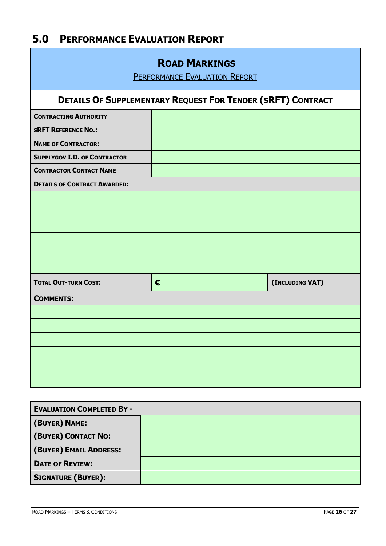# **5.0 PERFORMANCE EVALUATION REPORT**

| <b>ROAD MARKINGS</b><br><b>PERFORMANCE EVALUATION REPORT</b><br><b>DETAILS OF SUPPLEMENTARY REQUEST FOR TENDER (SRFT) CONTRACT</b> |   |                 |  |  |
|------------------------------------------------------------------------------------------------------------------------------------|---|-----------------|--|--|
|                                                                                                                                    |   |                 |  |  |
| <b>SRFT REFERENCE NO.:</b>                                                                                                         |   |                 |  |  |
| <b>NAME OF CONTRACTOR:</b>                                                                                                         |   |                 |  |  |
| <b>SUPPLYGOV I.D. OF CONTRACTOR</b>                                                                                                |   |                 |  |  |
| <b>CONTRACTOR CONTACT NAME</b>                                                                                                     |   |                 |  |  |
| <b>DETAILS OF CONTRACT AWARDED:</b>                                                                                                |   |                 |  |  |
|                                                                                                                                    |   |                 |  |  |
|                                                                                                                                    |   |                 |  |  |
|                                                                                                                                    |   |                 |  |  |
|                                                                                                                                    |   |                 |  |  |
|                                                                                                                                    |   |                 |  |  |
|                                                                                                                                    |   |                 |  |  |
| TOTAL OUT-TURN COST:                                                                                                               | € | (INCLUDING VAT) |  |  |
| <b>COMMENTS:</b>                                                                                                                   |   |                 |  |  |
|                                                                                                                                    |   |                 |  |  |
|                                                                                                                                    |   |                 |  |  |
|                                                                                                                                    |   |                 |  |  |
|                                                                                                                                    |   |                 |  |  |
|                                                                                                                                    |   |                 |  |  |
|                                                                                                                                    |   |                 |  |  |

| <b>EVALUATION COMPLETED BY -</b> |  |  |  |
|----------------------------------|--|--|--|
| (BUYER) NAME:                    |  |  |  |
| <b>(BUYER) CONTACT NO:</b>       |  |  |  |
| (BUYER) EMAIL ADDRESS:           |  |  |  |
| <b>DATE OF REVIEW:</b>           |  |  |  |
| <b>SIGNATURE (BUYER):</b>        |  |  |  |